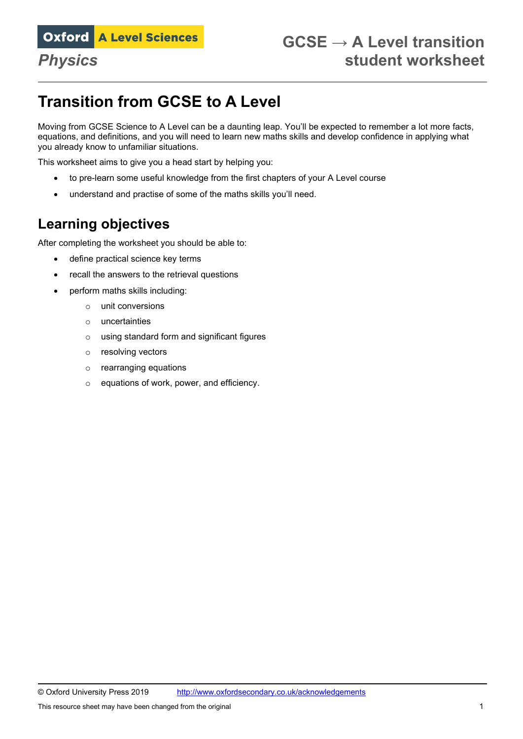# **Transition from GCSE to A Level**

Moving from GCSE Science to A Level can be a daunting leap. You'll be expected to remember a lot more facts, equations, and definitions, and you will need to learn new maths skills and develop confidence in applying what you already know to unfamiliar situations.

This worksheet aims to give you a head start by helping you:

- to pre-learn some useful knowledge from the first chapters of your A Level course
- understand and practise of some of the maths skills you'll need.

# **Learning objectives**

After completing the worksheet you should be able to:

- define practical science key terms
- recall the answers to the retrieval questions
- perform maths skills including:
	- o unit conversions
	- o uncertainties
	- o using standard form and significant figures
	- o resolving vectors
	- o rearranging equations
	- o equations of work, power, and efficiency.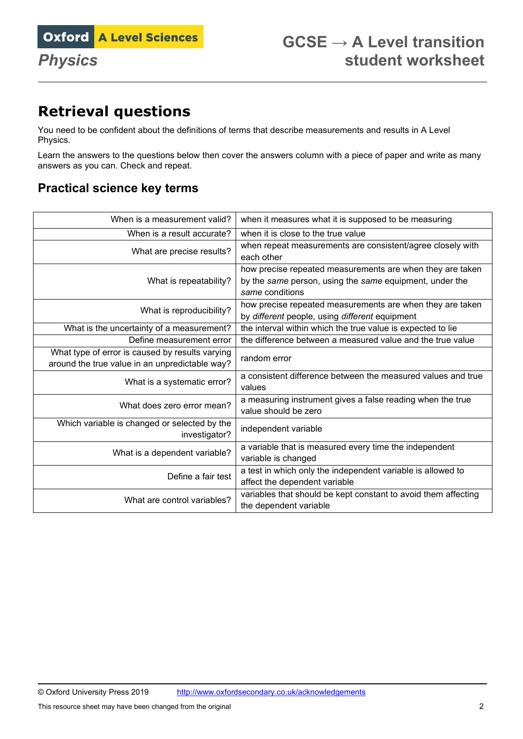# **Retrieval questions**

You need to be confident about the definitions of terms that describe measurements and results in A Level Physics.

Learn the answers to the questions below then cover the answers column with a piece of paper and write as many answers as you can. Check and repeat.

### **Practical science key terms**

| When is a measurement valid?                                                                      | when it measures what it is supposed to be measuring                                                                                    |
|---------------------------------------------------------------------------------------------------|-----------------------------------------------------------------------------------------------------------------------------------------|
| When is a result accurate?                                                                        | when it is close to the true value                                                                                                      |
| What are precise results?                                                                         | when repeat measurements are consistent/agree closely with<br>each other                                                                |
| What is repeatability?                                                                            | how precise repeated measurements are when they are taken<br>by the same person, using the same equipment, under the<br>same conditions |
| What is reproducibility?                                                                          | how precise repeated measurements are when they are taken<br>by different people, using different equipment                             |
| What is the uncertainty of a measurement?                                                         | the interval within which the true value is expected to lie                                                                             |
| Define measurement error                                                                          | the difference between a measured value and the true value                                                                              |
| What type of error is caused by results varying<br>around the true value in an unpredictable way? | random error                                                                                                                            |
| What is a systematic error?                                                                       | a consistent difference between the measured values and true<br>values                                                                  |
| What does zero error mean?                                                                        | a measuring instrument gives a false reading when the true<br>value should be zero                                                      |
| Which variable is changed or selected by the<br>investigator?                                     | independent variable                                                                                                                    |
| What is a dependent variable?                                                                     | a variable that is measured every time the independent<br>variable is changed                                                           |
| Define a fair test                                                                                | a test in which only the independent variable is allowed to<br>affect the dependent variable                                            |
| What are control variables?                                                                       | variables that should be kept constant to avoid them affecting<br>the dependent variable                                                |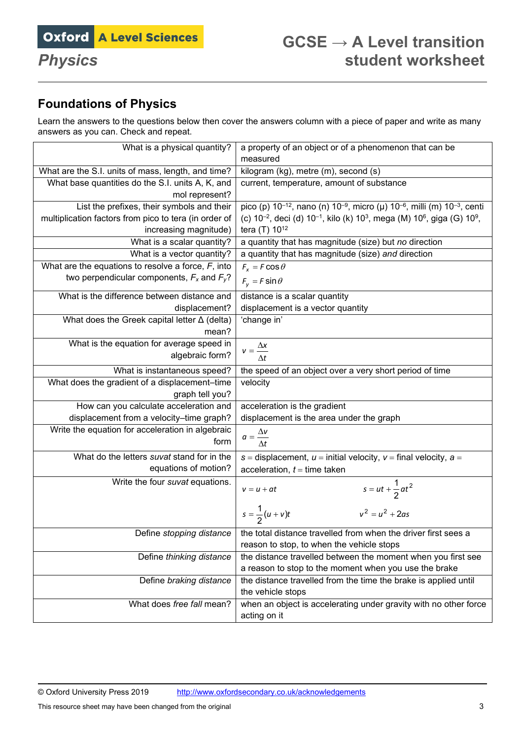# **Foundations of Physics**

Learn the answers to the questions below then cover the answers column with a piece of paper and write as many answers as you can. Check and repeat.

| What is a physical quantity?                                                                           | a property of an object or of a phenomenon that can be<br>measured                                                                  |
|--------------------------------------------------------------------------------------------------------|-------------------------------------------------------------------------------------------------------------------------------------|
|                                                                                                        |                                                                                                                                     |
| What are the S.I. units of mass, length, and time?<br>What base quantities do the S.I. units A, K, and | kilogram (kg), metre (m), second (s)                                                                                                |
|                                                                                                        | current, temperature, amount of substance                                                                                           |
| mol represent?<br>List the prefixes, their symbols and their                                           | pico (p) 10 <sup>-12</sup> , nano (n) 10 <sup>-9</sup> , micro (µ) 10 <sup>-6</sup> , milli (m) 10 <sup>-3</sup> , centi            |
| multiplication factors from pico to tera (in order of                                                  | (c) 10 <sup>-2</sup> , deci (d) 10 <sup>-1</sup> , kilo (k) 10 <sup>3</sup> , mega (M) 10 <sup>6</sup> , giga (G) 10 <sup>9</sup> , |
| increasing magnitude)                                                                                  | tera (T) 10 <sup>12</sup>                                                                                                           |
| What is a scalar quantity?                                                                             | a quantity that has magnitude (size) but no direction                                                                               |
| What is a vector quantity?                                                                             | a quantity that has magnitude (size) and direction                                                                                  |
| What are the equations to resolve a force, $F$ , into                                                  | $F_x = F \cos \theta$                                                                                                               |
| two perpendicular components, $F_x$ and $F_y$ ?                                                        | $F_v = F \sin \theta$                                                                                                               |
| What is the difference between distance and                                                            | distance is a scalar quantity                                                                                                       |
| displacement?                                                                                          | displacement is a vector quantity                                                                                                   |
| What does the Greek capital letter $\Delta$ (delta)                                                    | 'change in'                                                                                                                         |
| mean?                                                                                                  |                                                                                                                                     |
| What is the equation for average speed in                                                              | $v = \frac{\Delta x}{\Delta t}$                                                                                                     |
| algebraic form?                                                                                        |                                                                                                                                     |
| What is instantaneous speed?                                                                           | the speed of an object over a very short period of time                                                                             |
| What does the gradient of a displacement-time                                                          | velocity                                                                                                                            |
| graph tell you?                                                                                        |                                                                                                                                     |
| How can you calculate acceleration and                                                                 | acceleration is the gradient                                                                                                        |
| displacement from a velocity-time graph?                                                               | displacement is the area under the graph                                                                                            |
| Write the equation for acceleration in algebraic                                                       | $a = \frac{\Delta v}{\Delta t}$                                                                                                     |
| form                                                                                                   |                                                                                                                                     |
| What do the letters suvat stand for in the                                                             | s = displacement, $u =$ initial velocity, $v =$ final velocity, $a =$                                                               |
| equations of motion?                                                                                   | acceleration, $t =$ time taken                                                                                                      |
| Write the four suvat equations.                                                                        | $s = ut + \frac{1}{2}at^2$<br>$v = u + at$                                                                                          |
|                                                                                                        | $v^2 = u^2 + 2as$<br>$s = \frac{1}{2}(u + v)t$                                                                                      |
| Define stopping distance                                                                               | the total distance travelled from when the driver first sees a                                                                      |
|                                                                                                        | reason to stop, to when the vehicle stops                                                                                           |
| Define thinking distance                                                                               | the distance travelled between the moment when you first see                                                                        |
|                                                                                                        | a reason to stop to the moment when you use the brake                                                                               |
| Define braking distance                                                                                | the distance travelled from the time the brake is applied until                                                                     |
|                                                                                                        | the vehicle stops                                                                                                                   |
| What does free fall mean?                                                                              | when an object is accelerating under gravity with no other force                                                                    |
|                                                                                                        | acting on it                                                                                                                        |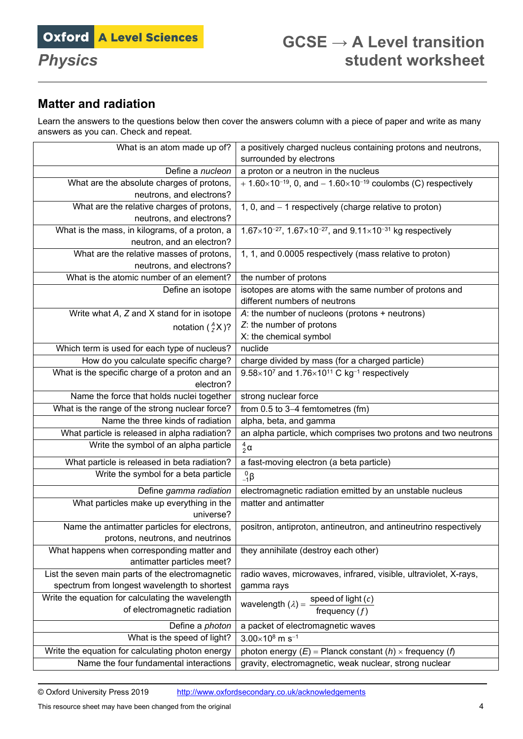# **Matter and radiation**

Learn the answers to the questions below then cover the answers column with a piece of paper and write as many answers as you can. Check and repeat.

| surrounded by electrons<br>Define a nucleon<br>a proton or a neutron in the nucleus<br>What are the absolute charges of protons,<br>+ $1.60 \times 10^{-19}$ , 0, and $- 1.60 \times 10^{-19}$ coulombs (C) respectively<br>neutrons, and electrons?<br>What are the relative charges of protons,<br>1, 0, and - 1 respectively (charge relative to proton)<br>neutrons, and electrons?<br>What is the mass, in kilograms, of a proton, a<br>$1.67\times10^{-27}$ , $1.67\times10^{-27}$ , and $9.11\times10^{-31}$ kg respectively<br>neutron, and an electron?<br>What are the relative masses of protons,<br>1, 1, and 0.0005 respectively (mass relative to proton)<br>neutrons, and electrons?<br>What is the atomic number of an element?<br>the number of protons<br>isotopes are atoms with the same number of protons and<br>Define an isotope<br>different numbers of neutrons<br>Write what A, Z and X stand for in isotope<br>A: the number of nucleons (protons $+$ neutrons)<br>Z: the number of protons<br>notation $\binom{A}{7}$ X )?<br>X: the chemical symbol<br>Which term is used for each type of nucleus?<br>nuclide<br>How do you calculate specific charge?<br>charge divided by mass (for a charged particle)<br>What is the specific charge of a proton and an<br>$9.58\times10^7$ and 1.76 $\times10^{11}$ C kg <sup>-1</sup> respectively<br>electron? |
|-------------------------------------------------------------------------------------------------------------------------------------------------------------------------------------------------------------------------------------------------------------------------------------------------------------------------------------------------------------------------------------------------------------------------------------------------------------------------------------------------------------------------------------------------------------------------------------------------------------------------------------------------------------------------------------------------------------------------------------------------------------------------------------------------------------------------------------------------------------------------------------------------------------------------------------------------------------------------------------------------------------------------------------------------------------------------------------------------------------------------------------------------------------------------------------------------------------------------------------------------------------------------------------------------------------------------------------------------------------------------------------|
|                                                                                                                                                                                                                                                                                                                                                                                                                                                                                                                                                                                                                                                                                                                                                                                                                                                                                                                                                                                                                                                                                                                                                                                                                                                                                                                                                                                     |
|                                                                                                                                                                                                                                                                                                                                                                                                                                                                                                                                                                                                                                                                                                                                                                                                                                                                                                                                                                                                                                                                                                                                                                                                                                                                                                                                                                                     |
|                                                                                                                                                                                                                                                                                                                                                                                                                                                                                                                                                                                                                                                                                                                                                                                                                                                                                                                                                                                                                                                                                                                                                                                                                                                                                                                                                                                     |
|                                                                                                                                                                                                                                                                                                                                                                                                                                                                                                                                                                                                                                                                                                                                                                                                                                                                                                                                                                                                                                                                                                                                                                                                                                                                                                                                                                                     |
|                                                                                                                                                                                                                                                                                                                                                                                                                                                                                                                                                                                                                                                                                                                                                                                                                                                                                                                                                                                                                                                                                                                                                                                                                                                                                                                                                                                     |
|                                                                                                                                                                                                                                                                                                                                                                                                                                                                                                                                                                                                                                                                                                                                                                                                                                                                                                                                                                                                                                                                                                                                                                                                                                                                                                                                                                                     |
|                                                                                                                                                                                                                                                                                                                                                                                                                                                                                                                                                                                                                                                                                                                                                                                                                                                                                                                                                                                                                                                                                                                                                                                                                                                                                                                                                                                     |
|                                                                                                                                                                                                                                                                                                                                                                                                                                                                                                                                                                                                                                                                                                                                                                                                                                                                                                                                                                                                                                                                                                                                                                                                                                                                                                                                                                                     |
|                                                                                                                                                                                                                                                                                                                                                                                                                                                                                                                                                                                                                                                                                                                                                                                                                                                                                                                                                                                                                                                                                                                                                                                                                                                                                                                                                                                     |
|                                                                                                                                                                                                                                                                                                                                                                                                                                                                                                                                                                                                                                                                                                                                                                                                                                                                                                                                                                                                                                                                                                                                                                                                                                                                                                                                                                                     |
|                                                                                                                                                                                                                                                                                                                                                                                                                                                                                                                                                                                                                                                                                                                                                                                                                                                                                                                                                                                                                                                                                                                                                                                                                                                                                                                                                                                     |
|                                                                                                                                                                                                                                                                                                                                                                                                                                                                                                                                                                                                                                                                                                                                                                                                                                                                                                                                                                                                                                                                                                                                                                                                                                                                                                                                                                                     |
|                                                                                                                                                                                                                                                                                                                                                                                                                                                                                                                                                                                                                                                                                                                                                                                                                                                                                                                                                                                                                                                                                                                                                                                                                                                                                                                                                                                     |
|                                                                                                                                                                                                                                                                                                                                                                                                                                                                                                                                                                                                                                                                                                                                                                                                                                                                                                                                                                                                                                                                                                                                                                                                                                                                                                                                                                                     |
|                                                                                                                                                                                                                                                                                                                                                                                                                                                                                                                                                                                                                                                                                                                                                                                                                                                                                                                                                                                                                                                                                                                                                                                                                                                                                                                                                                                     |
|                                                                                                                                                                                                                                                                                                                                                                                                                                                                                                                                                                                                                                                                                                                                                                                                                                                                                                                                                                                                                                                                                                                                                                                                                                                                                                                                                                                     |
|                                                                                                                                                                                                                                                                                                                                                                                                                                                                                                                                                                                                                                                                                                                                                                                                                                                                                                                                                                                                                                                                                                                                                                                                                                                                                                                                                                                     |
|                                                                                                                                                                                                                                                                                                                                                                                                                                                                                                                                                                                                                                                                                                                                                                                                                                                                                                                                                                                                                                                                                                                                                                                                                                                                                                                                                                                     |
|                                                                                                                                                                                                                                                                                                                                                                                                                                                                                                                                                                                                                                                                                                                                                                                                                                                                                                                                                                                                                                                                                                                                                                                                                                                                                                                                                                                     |
| Name the force that holds nuclei together<br>strong nuclear force                                                                                                                                                                                                                                                                                                                                                                                                                                                                                                                                                                                                                                                                                                                                                                                                                                                                                                                                                                                                                                                                                                                                                                                                                                                                                                                   |
| What is the range of the strong nuclear force?<br>from 0.5 to 3-4 femtometres (fm)                                                                                                                                                                                                                                                                                                                                                                                                                                                                                                                                                                                                                                                                                                                                                                                                                                                                                                                                                                                                                                                                                                                                                                                                                                                                                                  |
| Name the three kinds of radiation<br>alpha, beta, and gamma                                                                                                                                                                                                                                                                                                                                                                                                                                                                                                                                                                                                                                                                                                                                                                                                                                                                                                                                                                                                                                                                                                                                                                                                                                                                                                                         |
| an alpha particle, which comprises two protons and two neutrons<br>What particle is released in alpha radiation?                                                                                                                                                                                                                                                                                                                                                                                                                                                                                                                                                                                                                                                                                                                                                                                                                                                                                                                                                                                                                                                                                                                                                                                                                                                                    |
| Write the symbol of an alpha particle<br>$\frac{4}{2}$ $\alpha$                                                                                                                                                                                                                                                                                                                                                                                                                                                                                                                                                                                                                                                                                                                                                                                                                                                                                                                                                                                                                                                                                                                                                                                                                                                                                                                     |
| What particle is released in beta radiation?<br>a fast-moving electron (a beta particle)                                                                                                                                                                                                                                                                                                                                                                                                                                                                                                                                                                                                                                                                                                                                                                                                                                                                                                                                                                                                                                                                                                                                                                                                                                                                                            |
| Write the symbol for a beta particle<br>$^{0}_{-1}$ $\beta$                                                                                                                                                                                                                                                                                                                                                                                                                                                                                                                                                                                                                                                                                                                                                                                                                                                                                                                                                                                                                                                                                                                                                                                                                                                                                                                         |
| Define gamma radiation<br>electromagnetic radiation emitted by an unstable nucleus                                                                                                                                                                                                                                                                                                                                                                                                                                                                                                                                                                                                                                                                                                                                                                                                                                                                                                                                                                                                                                                                                                                                                                                                                                                                                                  |
| What particles make up everything in the<br>matter and antimatter                                                                                                                                                                                                                                                                                                                                                                                                                                                                                                                                                                                                                                                                                                                                                                                                                                                                                                                                                                                                                                                                                                                                                                                                                                                                                                                   |
| universe?                                                                                                                                                                                                                                                                                                                                                                                                                                                                                                                                                                                                                                                                                                                                                                                                                                                                                                                                                                                                                                                                                                                                                                                                                                                                                                                                                                           |
| positron, antiproton, antineutron, and antineutrino respectively<br>Name the antimatter particles for electrons,                                                                                                                                                                                                                                                                                                                                                                                                                                                                                                                                                                                                                                                                                                                                                                                                                                                                                                                                                                                                                                                                                                                                                                                                                                                                    |
| protons, neutrons, and neutrinos                                                                                                                                                                                                                                                                                                                                                                                                                                                                                                                                                                                                                                                                                                                                                                                                                                                                                                                                                                                                                                                                                                                                                                                                                                                                                                                                                    |
| What happens when corresponding matter and<br>they annihilate (destroy each other)<br>antimatter particles meet?                                                                                                                                                                                                                                                                                                                                                                                                                                                                                                                                                                                                                                                                                                                                                                                                                                                                                                                                                                                                                                                                                                                                                                                                                                                                    |
| List the seven main parts of the electromagnetic<br>radio waves, microwaves, infrared, visible, ultraviolet, X-rays,                                                                                                                                                                                                                                                                                                                                                                                                                                                                                                                                                                                                                                                                                                                                                                                                                                                                                                                                                                                                                                                                                                                                                                                                                                                                |
| spectrum from longest wavelength to shortest<br>gamma rays                                                                                                                                                                                                                                                                                                                                                                                                                                                                                                                                                                                                                                                                                                                                                                                                                                                                                                                                                                                                                                                                                                                                                                                                                                                                                                                          |
| Write the equation for calculating the wavelength<br>wavelength $(\lambda) = \frac{\text{speed of light}(c)}{\lambda}$                                                                                                                                                                                                                                                                                                                                                                                                                                                                                                                                                                                                                                                                                                                                                                                                                                                                                                                                                                                                                                                                                                                                                                                                                                                              |
| of electromagnetic radiation<br>frequency $(f)$                                                                                                                                                                                                                                                                                                                                                                                                                                                                                                                                                                                                                                                                                                                                                                                                                                                                                                                                                                                                                                                                                                                                                                                                                                                                                                                                     |
| Define a photon<br>a packet of electromagnetic waves                                                                                                                                                                                                                                                                                                                                                                                                                                                                                                                                                                                                                                                                                                                                                                                                                                                                                                                                                                                                                                                                                                                                                                                                                                                                                                                                |
| What is the speed of light?<br>$3.00\times10^{8}$ m s <sup>-1</sup>                                                                                                                                                                                                                                                                                                                                                                                                                                                                                                                                                                                                                                                                                                                                                                                                                                                                                                                                                                                                                                                                                                                                                                                                                                                                                                                 |
| Write the equation for calculating photon energy<br>photon energy $(E)$ = Planck constant $(h)$ x frequency $(h)$                                                                                                                                                                                                                                                                                                                                                                                                                                                                                                                                                                                                                                                                                                                                                                                                                                                                                                                                                                                                                                                                                                                                                                                                                                                                   |
| Name the four fundamental interactions<br>gravity, electromagnetic, weak nuclear, strong nuclear                                                                                                                                                                                                                                                                                                                                                                                                                                                                                                                                                                                                                                                                                                                                                                                                                                                                                                                                                                                                                                                                                                                                                                                                                                                                                    |

© Oxford University Press 2019 <http://www.oxfordsecondary.co.uk/acknowledgements>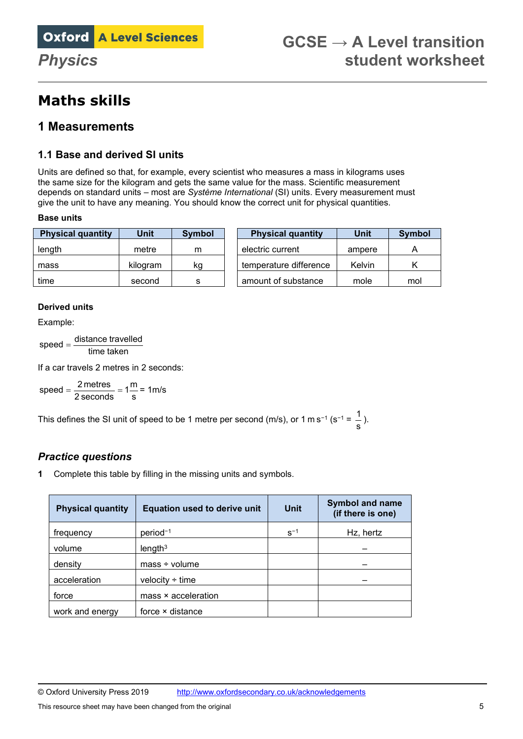# **Maths skills**

## **1 Measurements**

#### **1.1 Base and derived SI units**

Units are defined so that, for example, every scientist who measures a mass in kilograms uses the same size for the kilogram and gets the same value for the mass. Scientific measurement depends on standard units – most are *Système International* (SI) units. Every measurement must give the unit to have any meaning. You should know the correct unit for physical quantities.

#### **Base units**

| <b>Physical quantity</b> | Unit     | <b>Symbol</b> | <b>Physical quantity</b> | Unit   | Symbol |
|--------------------------|----------|---------------|--------------------------|--------|--------|
| length                   | metre    | m             | electric current         | ampere |        |
| mass                     | kilogram | kg            | temperature difference   | Kelvin |        |
| time                     | second   | s             | amount of substance      | mole   | mol    |

#### **Derived units**

Example:

time taken  $speed = \frac{distance\ travelled}{}$ 

If a car travels 2 metres in 2 seconds:

 $speed = \frac{2 \text{ metres}}{2 \text{ seconds}} = 1 \frac{\text{m}}{\text{s}} = 1 \text{ m/s}$ 

This defines the SI unit of speed to be 1 metre per second (m/s), or 1 m s−1 (s−<sup>1</sup> = s  $\frac{1}{2}$ .

#### *Practice questions*

**1** Complete this table by filling in the missing units and symbols.

| <b>Physical quantity</b> | <b>Equation used to derive unit</b> | <b>Unit</b> | <b>Symbol and name</b><br>(if there is one) |
|--------------------------|-------------------------------------|-------------|---------------------------------------------|
| frequency                | $period^{-1}$                       | $S^{-1}$    | Hz, hertz                                   |
| volume                   | length <sup>3</sup>                 |             |                                             |
| density                  | $mass + volume$                     |             |                                             |
| acceleration             | velocity $\div$ time                |             |                                             |
| force                    | mass × acceleration                 |             |                                             |
| work and energy          | force × distance                    |             |                                             |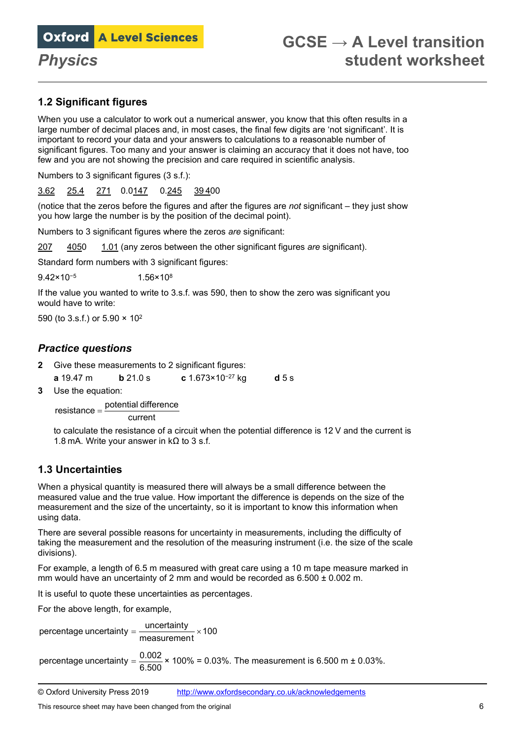

### **1.2 Significant figures**

When you use a calculator to work out a numerical answer, you know that this often results in a large number of decimal places and, in most cases, the final few digits are 'not significant'. It is important to record your data and your answers to calculations to a reasonable number of significant figures. Too many and your answer is claiming an accuracy that it does not have, too few and you are not showing the precision and care required in scientific analysis.

Numbers to 3 significant figures (3 s.f.):

3.62 25.4 271 0.0147 0.245 39 400

(notice that the zeros before the figures and after the figures are *not* significant – they just show you how large the number is by the position of the decimal point).

Numbers to 3 significant figures where the zeros *are* significant:

207 4050 1.01 (any zeros between the other significant figures *are* significant).

Standard form numbers with 3 significant figures:

9.42×10<sup>−5</sup> 1.56×10<sup>8</sup>

If the value you wanted to write to 3.s.f. was 590, then to show the zero was significant you would have to write:

590 (to 3.s.f.) or 5.90 × 102

#### *Practice questions*

- **2** Give these measurements to 2 significant figures:
- **a** 19.47 m **b** 21.0 s **c** 1.673×10<sup>−</sup><sup>27</sup> kg **d** 5 s
- **3** Use the equation:

current  $resistance = \frac{potential \ difference}{}$ 

to calculate the resistance of a circuit when the potential difference is 12 V and the current is 1.8 mA. Write your answer in  $k\Omega$  to 3 s.f.

### **1.3 Uncertainties**

When a physical quantity is measured there will always be a small difference between the measured value and the true value. How important the difference is depends on the size of the measurement and the size of the uncertainty, so it is important to know this information when using data.

There are several possible reasons for uncertainty in measurements, including the difficulty of taking the measurement and the resolution of the measuring instrument (i.e. the size of the scale divisions).

For example, a length of 6.5 m measured with great care using a 10 m tape measure marked in mm would have an uncertainty of 2 mm and would be recorded as  $6.500 \pm 0.002$  m.

It is useful to quote these uncertainties as percentages.

For the above length, for example,

percentage uncertainty  $=$   $\frac{\text{uncertainty}}{\text{measurement}} \times 100$ 

percentage uncertainty =  $\frac{0.002}{6.500}$  × 100% = 0.03%. The measurement is 6.500 m ± 0.03%.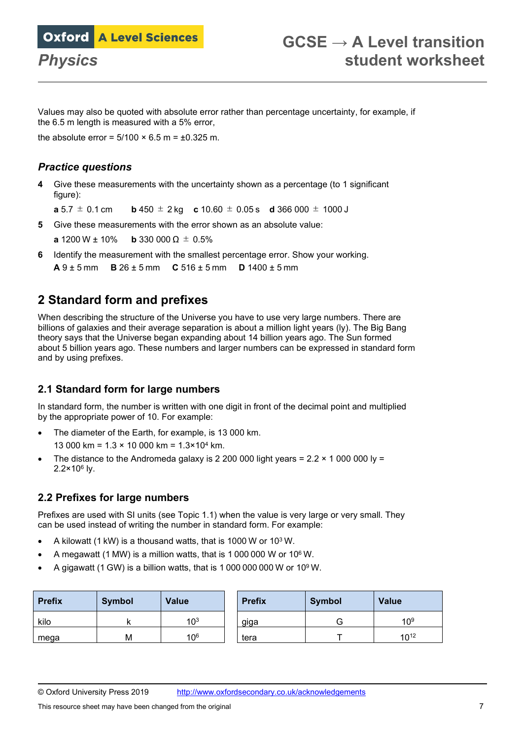Values may also be quoted with absolute error rather than percentage uncertainty, for example, if the 6.5 m length is measured with a 5% error,

the absolute error =  $5/100 \times 6.5$  m =  $\pm 0.325$  m.

#### *Practice questions*

**4** Give these measurements with the uncertainty shown as a percentage (to 1 significant figure):

**a** 5.7  $\pm$  0.1 cm **b** 450  $\pm$  2 kg **c** 10.60  $\pm$  0.05 s **d** 366 000  $\pm$  1000 J

**5** Give these measurements with the error shown as an absolute value:

**a** 1200 W ± 10% **b** 330 000 Ω ± 0.5%

**6** Identify the measurement with the smallest percentage error. Show your working. **A** 9 ± 5 mm **B** 26 ± 5 mm **C** 516 ± 5 mm **D** 1400 ± 5 mm

## **2 Standard form and prefixes**

When describing the structure of the Universe you have to use very large numbers. There are billions of galaxies and their average separation is about a million light years (ly). The Big Bang theory says that the Universe began expanding about 14 billion years ago. The Sun formed about 5 billion years ago. These numbers and larger numbers can be expressed in standard form and by using prefixes.

### **2.1 Standard form for large numbers**

In standard form, the number is written with one digit in front of the decimal point and multiplied by the appropriate power of 10. For example:

• The diameter of the Earth, for example, is 13 000 km.

13 000 km = 1.3 × 10 000 km = 1.3×104 km.

• The distance to the Andromeda galaxy is 2 200 000 light years =  $2.2 \times 10000000$  ly = 2.2×106 ly.

### **2.2 Prefixes for large numbers**

Prefixes are used with SI units (see Topic 1.1) when the value is very large or very small. They can be used instead of writing the number in standard form. For example:

- A kilowatt (1 kW) is a thousand watts, that is 1000 W or 103 W.
- A megawatt (1 MW) is a million watts, that is 1 000 000 W or 106 W.
- A gigawatt (1 GW) is a billion watts, that is 1 000 000 000 W or  $10^9$  W.

| <b>Prefix</b> | <b>Symbol</b> | <b>Value</b>    | <b>Prefix</b> | <b>Symbol</b> | <b>Value</b> |
|---------------|---------------|-----------------|---------------|---------------|--------------|
| kilo          |               | 10 <sup>3</sup> | giga          |               | $10^{9}$     |
| mega          | M             | 10 <sup>6</sup> | tera          |               | $10^{12}$    |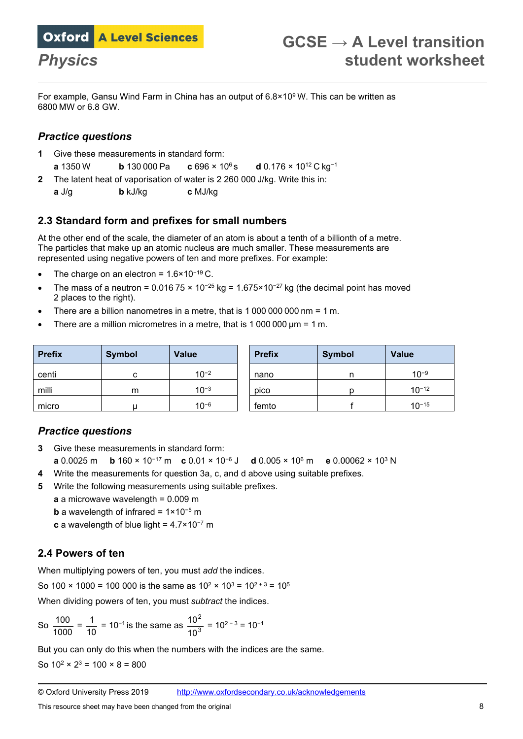For example, Gansu Wind Farm in China has an output of 6.8×109 W. This can be written as 6800 MW or 6.8 GW.

### *Practice questions*

- **1** Give these measurements in standard form:
- **a** 1350 W **b** 130 000 Pa **c** 696 × 106 s **d** 0.176 × 1012 C kg<sup>−</sup><sup>1</sup>
- **2** The latent heat of vaporisation of water is 2 260 000 J/kg. Write this in:
- **a** J/g **b** kJ/kg **c** MJ/kg

### **2.3 Standard form and prefixes for small numbers**

At the other end of the scale, the diameter of an atom is about a tenth of a billionth of a metre. The particles that make up an atomic nucleus are much smaller. These measurements are represented using negative powers of ten and more prefixes. For example:

- The charge on an electron = 1.6×10<sup>−</sup><sup>19</sup> C.
- The mass of a neutron =  $0.01675 \times 10^{-25}$  kg =  $1.675 \times 10^{-27}$  kg (the decimal point has moved 2 places to the right).
- There are a billion nanometres in a metre, that is 1 000 000 000 nm = 1 m.
- There are a million micrometres in a metre, that is 1 000 000 μm = 1 m.

| <b>Prefix</b> | <b>Symbol</b> | <b>Value</b> | <b>Prefix</b> | <b>Symbol</b> | <b>Value</b> |
|---------------|---------------|--------------|---------------|---------------|--------------|
| centi         | c             | $10^{-2}$    | nano          | n             | $10^{-9}$    |
| milli         | m             | $10^{-3}$    | pico          |               | $10^{-12}$   |
| micro         |               | $10^{-6}$    | femto         |               | $10^{-15}$   |

### *Practice questions*

- **3** Give these measurements in standard form: **a** 0.0025 m **b** 160 × 10<sup>−</sup>17 m **c** 0.01 × 10<sup>−</sup><sup>6</sup> J **d** 0.005 × 106 m **e** 0.00062 × 103 N
- **4** Write the measurements for question 3a, c, and d above using suitable prefixes.
- **5** Write the following measurements using suitable prefixes.
	- **a** a microwave wavelength = 0.009 m
	- **b** a wavelength of infrared = 1×10<sup>-5</sup> m
	- **c** a wavelength of blue light = 4.7×10<sup>−</sup>7 m

### **2.4 Powers of ten**

When multiplying powers of ten, you must *add* the indices.

So 100  $\times$  1000 = 100 000 is the same as  $10^2 \times 10^3 = 10^{2+3} = 10^5$ 

When dividing powers of ten, you must *subtract* the indices.

So 
$$
\frac{100}{1000} = \frac{1}{10} = 10^{-1}
$$
 is the same as  $\frac{10^2}{10^3} = 10^{2-3} = 10^{-1}$ 

But you can only do this when the numbers with the indices are the same.

So  $10^2 \times 2^3 = 100 \times 8 = 800$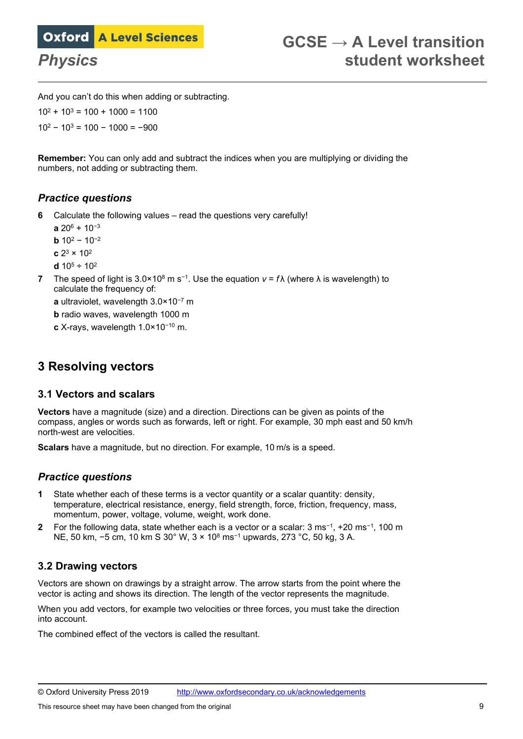And you can't do this when adding or subtracting.

 $10^2 + 10^3 = 100 + 1000 = 1100$  $10^2 - 10^3 = 100 - 1000 = -900$ 

**Remember:** You can only add and subtract the indices when you are multiplying or dividing the numbers, not adding or subtracting them.

#### *Practice questions*

**6** Calculate the following values – read the questions very carefully!

**a** 206 + 10<sup>−</sup><sup>3</sup> **b**  $10^2 - 10^{-2}$ **c** 23 × 102 **d**  $10^5 \div 10^2$ 

**7** The speed of light is 3.0×108 m s<sup>−</sup>1. Use the equation *v* = *f* λ (where λ is wavelength) to calculate the frequency of:

**a** ultraviolet, wavelength 3.0×10<sup>−</sup>7 m

**b** radio waves, wavelength 1000 m

**c** X-rays, wavelength 1.0×10<sup>−</sup>10 m.

## **3 Resolving vectors**

#### **3.1 Vectors and scalars**

**Vectors** have a magnitude (size) and a direction. Directions can be given as points of the compass, angles or words such as forwards, left or right. For example, 30 mph east and 50 km/h north-west are velocities.

**Scalars** have a magnitude, but no direction. For example, 10 m/s is a speed.

### *Practice questions*

- **1** State whether each of these terms is a vector quantity or a scalar quantity: density, temperature, electrical resistance, energy, field strength, force, friction, frequency, mass, momentum, power, voltage, volume, weight, work done.
- **2** For the following data, state whether each is a vector or a scalar: 3 ms<sup>−</sup>1, +20 ms−1, 100 m NE, 50 km, −5 cm, 10 km S 30° W, 3 × 10<sup>8</sup> ms<sup>-1</sup> upwards, 273 °C, 50 kg, 3 A.

#### **3.2 Drawing vectors**

Vectors are shown on drawings by a straight arrow. The arrow starts from the point where the vector is acting and shows its direction. The length of the vector represents the magnitude.

When you add vectors, for example two velocities or three forces, you must take the direction into account.

The combined effect of the vectors is called the resultant.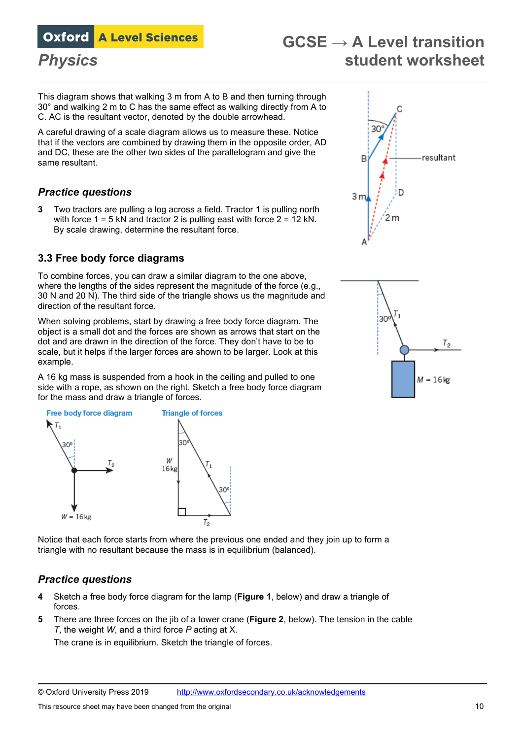# **GCSE → A Level transition** *Physics* **student worksheet**

This diagram shows that walking 3 m from A to B and then turning through 30° and walking 2 m to C has the same effect as walking directly from A to C. AC is the resultant vector, denoted by the double arrowhead.

A careful drawing of a scale diagram allows us to measure these. Notice that if the vectors are combined by drawing them in the opposite order, AD and DC, these are the other two sides of the parallelogram and give the same resultant.

### *Practice questions*

**3** Two tractors are pulling a log across a field. Tractor 1 is pulling north with force  $1 = 5$  kN and tractor 2 is pulling east with force  $2 = 12$  kN. By scale drawing, determine the resultant force.

#### **3.3 Free body force diagrams**

To combine forces, you can draw a similar diagram to the one above, where the lengths of the sides represent the magnitude of the force (e.g., 30 N and 20 N). The third side of the triangle shows us the magnitude and direction of the resultant force.

When solving problems, start by drawing a free body force diagram. The object is a small dot and the forces are shown as arrows that start on the dot and are drawn in the direction of the force. They don't have to be to scale, but it helps if the larger forces are shown to be larger. Look at this example.

A 16 kg mass is suspended from a hook in the ceiling and pulled to one side with a rope, as shown on the right. Sketch a free body force diagram for the mass and draw a triangle of forces.



Notice that each force starts from where the previous one ended and they join up to form a triangle with no resultant because the mass is in equilibrium (balanced).

#### *Practice questions*

- **4** Sketch a free body force diagram for the lamp (**Figure 1**, below) and draw a triangle of forces.
- **5** There are three forces on the jib of a tower crane (**Figure 2**, below). The tension in the cable *T*, the weight *W*, and a third force *P* acting at X.

The crane is in equilibrium. Sketch the triangle of forces.



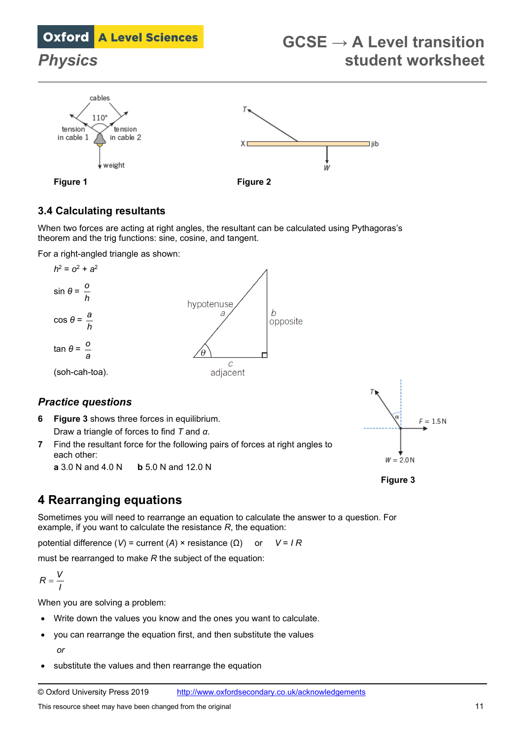# **GCSE → A Level transition** *Physics* **student worksheet**



### **3.4 Calculating resultants**

When two forces are acting at right angles, the resultant can be calculated using Pythagoras's theorem and the trig functions: sine, cosine, and tangent.

For a right-angled triangle as shown:



# **6 Figure 3** shows three forces in equilibrium.

Draw a triangle of forces to find *T* and *α*.

**7** Find the resultant force for the following pairs of forces at right angles to each other:

**a** 3.0 N and 4.0 N **b** 5.0 N and 12.0 N



**Figure 3**

# **4 Rearranging equations**

Sometimes you will need to rearrange an equation to calculate the answer to a question. For example, if you want to calculate the resistance *R*, the equation:

potential difference (*V*) = current (*A*) × resistance (Ω) or *V* = *I R*

must be rearranged to make *R* the subject of the equation:

$$
R=\frac{V}{I}
$$

When you are solving a problem:

- Write down the values you know and the ones you want to calculate.
- you can rearrange the equation first, and then substitute the values *or*
- substitute the values and then rearrange the equation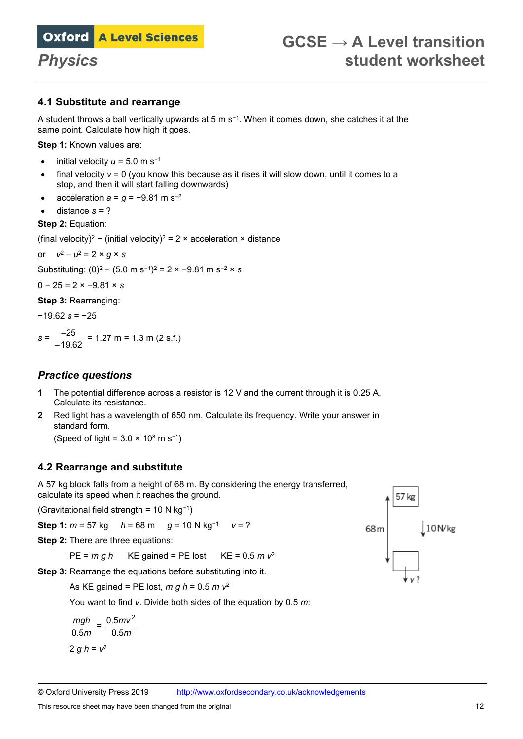#### **4.1 Substitute and rearrange**

A student throws a ball vertically upwards at 5 m s<sup>−</sup>1. When it comes down, she catches it at the same point. Calculate how high it goes.

**Step 1:** Known values are:

- initial velocity  $u = 5.0$  m s<sup>-1</sup>
- final velocity  $v = 0$  (you know this because as it rises it will slow down, until it comes to a stop, and then it will start falling downwards)
- acceleration  $a = q = -9.81$  m s<sup>-2</sup>
- distance *s* = ?

#### **Step 2:** Equation:

(final velocity)<sup>2</sup> − (initial velocity)<sup>2</sup> = 2 × acceleration × distance

or  $v^2 - u^2 = 2 \times q \times s$ 

Substituting: (0)2 − (5.0 m s<sup>−</sup>1)2 = 2 × −9.81 m s<sup>−</sup><sup>2</sup> × *s*

0 − 25 = 2 × −9.81 × *s*

**Step 3:** Rearranging:

−19.62 *s* = −25

$$
s = \frac{-25}{-19.62} = 1.27 \text{ m} = 1.3 \text{ m (2 s.f.)}
$$

#### *Practice questions*

- **1** The potential difference across a resistor is 12 V and the current through it is 0.25 A. Calculate its resistance.
- **2** Red light has a wavelength of 650 nm. Calculate its frequency. Write your answer in standard form.

(Speed of light =  $3.0 \times 10^8$  m s<sup>-1</sup>)

#### **4.2 Rearrange and substitute**

A 57 kg block falls from a height of 68 m. By considering the energy transferred, calculate its speed when it reaches the ground.

(Gravitational field strength = 10 N kg<sup>−</sup>1)

**Step 1:**  $m = 57$  kg  $h = 68$  m  $q = 10$  N kg<sup>-1</sup>  $v = ?$ 

**Step 2: There are three equations:** 

 $PE = mgh$  KE gained = PE lost KE = 0.5  $mV^2$ 

**Step 3:** Rearrange the equations before substituting into it.

As KE gained = PE lost, *m g h* = 0.5 *m v*<sup>2</sup>

You want to find *v*. Divide both sides of the equation by 0.5 *m*:

$$
\frac{mgh}{0.5m} = \frac{0.5mv^2}{0.5m}
$$

$$
2 gh = v^2
$$

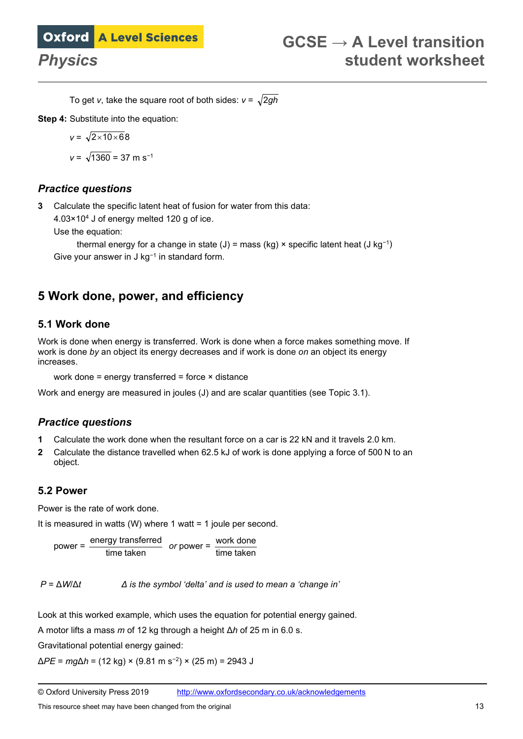To get *v*, take the square root of both sides:  $v = \sqrt{2gh}$ 

**Step 4:** Substitute into the equation:

$$
v = \sqrt{2 \times 10 \times 6}8
$$

 $v = \sqrt{1360} = 37$  m s<sup>-1</sup>

#### *Practice questions*

**3** Calculate the specific latent heat of fusion for water from this data:

4.03×104 J of energy melted 120 g of ice.

Use the equation:

thermal energy for a change in state (J) = mass (kg) × specific latent heat (J kg<sup>-1</sup>) Give your answer in J kg<sup>−</sup><sup>1</sup> in standard form.

## **5 Work done, power, and efficiency**

#### **5.1 Work done**

Work is done when energy is transferred. Work is done when a force makes something move. If work is done *by* an object its energy decreases and if work is done *on* an object its energy increases.

work done = energy transferred = force × distance

Work and energy are measured in joules (J) and are scalar quantities (see Topic 3.1).

### *Practice questions*

- **1** Calculate the work done when the resultant force on a car is 22 kN and it travels 2.0 km.
- **2** Calculate the distance travelled when 62.5 kJ of work is done applying a force of 500 N to an object.

#### **5.2 Power**

Power is the rate of work done.

It is measured in watts (W) where 1 watt = 1 joule per second.

power = taken time energy dtransferre *or* power = taken time done work

*P* = Δ*W*/Δ*t Δ is the symbol 'delta' and is used to mean a 'change in'*

Look at this worked example, which uses the equation for potential energy gained.

A motor lifts a mass *m* of 12 kg through a height Δ*h* of 25 m in 6.0 s.

Gravitational potential energy gained:

Δ*PE* = *mg*Δ*h* = (12 kg) × (9.81 m s<sup>−</sup>2) × (25 m) = 2943 J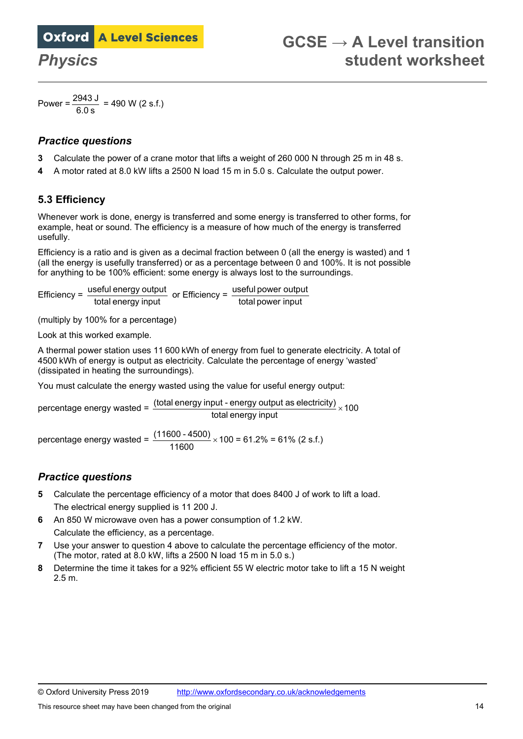Power =  $\frac{2943 \text{ J}}{6.0 \text{ s}}$  = 490 W (2 s.f.)

#### *Practice questions*

- **3** Calculate the power of a crane motor that lifts a weight of 260 000 N through 25 m in 48 s.
- **4** A motor rated at 8.0 kW lifts a 2500 N load 15 m in 5.0 s. Calculate the output power.

### **5.3 Efficiency**

Whenever work is done, energy is transferred and some energy is transferred to other forms, for example, heat or sound. The efficiency is a measure of how much of the energy is transferred usefully.

Efficiency is a ratio and is given as a decimal fraction between 0 (all the energy is wasted) and 1 (all the energy is usefully transferred) or as a percentage between 0 and 100%. It is not possible for anything to be 100% efficient: some energy is always lost to the surroundings.

Efficiency =  $\frac{\text{useful energy output}}{\text{total energy input}}$  or Efficiency =  $\frac{\text{useful power output}}{\text{total power input}}$ 

(multiply by 100% for a percentage)

Look at this worked example.

A thermal power station uses 11 600 kWh of energy from fuel to generate electricity. A total of 4500 kWh of energy is output as electricity. Calculate the percentage of energy 'wasted' (dissipated in heating the surroundings).

You must calculate the energy wasted using the value for useful energy output:

percentage energy wasted =  $\frac{\text{(total energy input - energy output as electricity)}}{\text{(dashed line)}} \times 100$ total energy input

percentage energy wasted =  $\frac{(11,000)(10,00)}{11600} \times 100$  $\frac{(11600 - 4500)}{11600}$  × 100 = 61.2% = 61% (2 s.f.)

### *Practice questions*

- **5** Calculate the percentage efficiency of a motor that does 8400 J of work to lift a load. The electrical energy supplied is 11 200 J.
- **6** An 850 W microwave oven has a power consumption of 1.2 kW. Calculate the efficiency, as a percentage.
- **7** Use your answer to question 4 above to calculate the percentage efficiency of the motor. (The motor, rated at 8.0 kW, lifts a 2500 N load 15 m in 5.0 s.)
- **8** Determine the time it takes for a 92% efficient 55 W electric motor take to lift a 15 N weight 2.5 m.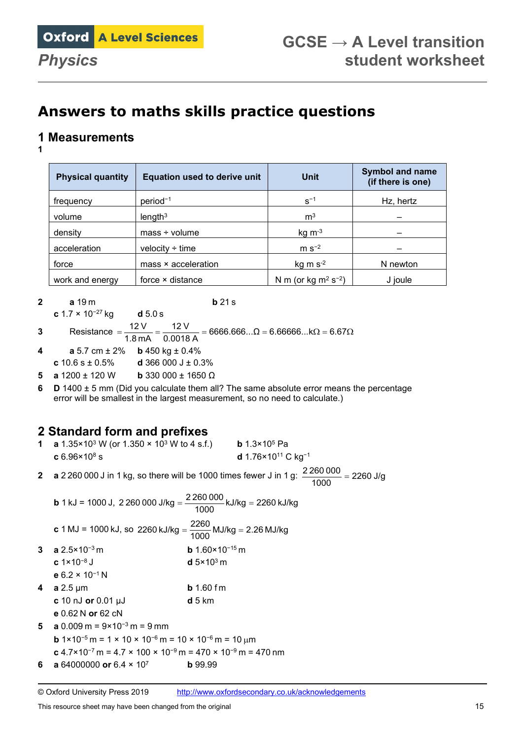# **Answers to maths skills practice questions**

## **1 Measurements**

**1** 

| <b>Physical quantity</b> | <b>Equation used to derive unit</b> | <b>Unit</b>               | <b>Symbol and name</b><br>(if there is one) |
|--------------------------|-------------------------------------|---------------------------|---------------------------------------------|
| frequency                | $period^{-1}$                       | $S^{-1}$                  | Hz, hertz                                   |
| volume                   | length <sup>3</sup>                 | m <sup>3</sup>            |                                             |
| density                  | $mass + volume$                     | $kg \, m^{-3}$            |                                             |
| acceleration             | velocity $\div$ time                | $m s-2$                   |                                             |
| force                    | mass × acceleration                 | $kg \, m \, s^{-2}$       | N newton                                    |
| work and energy          | force × distance                    | N m (or kg $m^2 s^{-2}$ ) | J joule                                     |

**2 a** 19 m **b** 21 s **c** 1.7 × 10<sup>−</sup><sup>27</sup> kg **d** 5.0 s

**3** Resistance  $=\frac{12V}{12V} = \frac{12V}{120} = 6666.666...$  Ω =  $6.66666...$   $\Omega = 6.67$  Ω 1.8 mA 0.0018 A  $12V$  $12V$ 

- **4 a** 5.7 cm ± 2% **b** 450 kg ± 0.4%
- **c** 10.6 s ± 0.5% **d** 366 000 J ± 0.3%

**5 a**  $1200 \pm 120$  W **b** 330 000  $\pm$  1650  $\Omega$ 

**6 D** 1400 ± 5 mm (Did you calculate them all? The same absolute error means the percentage error will be smallest in the largest measurement, so no need to calculate.)

## **2 Standard form and prefixes**

| 1 a $1.35 \times 10^3$ W (or $1.350 \times 10^3$ W to 4 s.f.) | <b>b</b> 1.3×10 <sup>5</sup> Pa                   |
|---------------------------------------------------------------|---------------------------------------------------|
| $c 6.96 \times 10^8 s$                                        | <b>d</b> 1.76×10 <sup>11</sup> C kg <sup>-1</sup> |
|                                                               | LO DAG C                                          |

**2 a** 2 260 000 J in 1 kg, so there will be 1000 times fewer J in 1 g:  $\frac{2\,260\,000}{1000}$  = 2260 J/g

| <b>b</b> 1 kJ = 1000 J, 2 260 000 J/kg = $\frac{2260000}{1000}$ kJ/kg = 2260 kJ/kg |  |
|------------------------------------------------------------------------------------|--|
| <b>c</b> 1 MJ = 1000 kJ, so 2260 kJ/kg = $\frac{2260}{1000}$ MJ/kg = 2.26 MJ/kg    |  |

- **3 a** 2.5×10<sup>−</sup>3 m **b** 1.60×10<sup>−</sup>15 m
- **c** 1×10<sup>−</sup><sup>8</sup> J **d** 5×103 m **e** 6.2 × 10<sup>−</sup><sup>1</sup> N
- **4 a** 2.5 μm **b** 1.60 f m **c** 10 nJ **or** 0.01 μJ **d** 5 km
- **e** 0.62 N **or** 62 cN
- **5 a** 0.009 m = 9×10<sup>−</sup><sup>3</sup> m = 9 mm **b** 1×10<sup>−</sup><sup>5</sup> m = 1 × 10 × 10<sup>−</sup><sup>6</sup> m = 10 × 10<sup>−</sup><sup>6</sup> m = 10 µm **c** 4.7×10<sup>−</sup><sup>7</sup> m = 4.7 × 100 × 10<sup>−</sup><sup>9</sup> m = 470 × 10<sup>−</sup><sup>9</sup> m = 470 nm
- **6 a** 64000000 **or** 6.4 × 107 **b** 99.99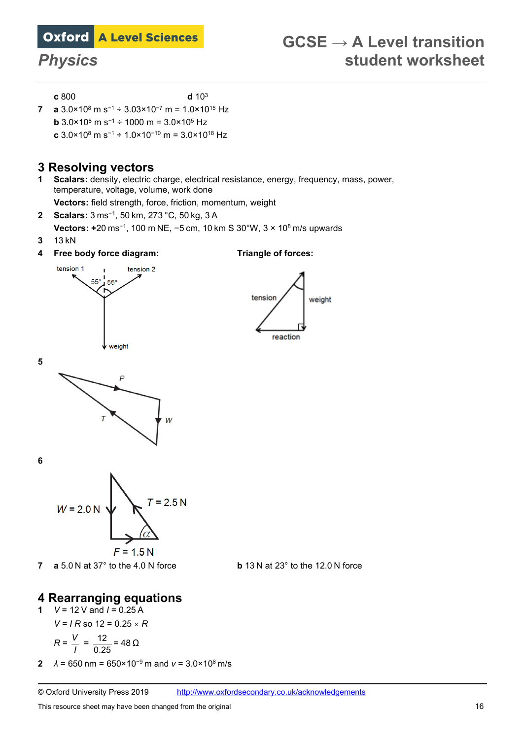**c** 800 **d** 103

**7 a** 3.0×108 m s<sup>−</sup><sup>1</sup> ÷ 3.03×10<sup>−</sup><sup>7</sup> m = 1.0×1015 Hz **b** 3.0×108 m s<sup>−</sup><sup>1</sup> ÷ 1000 m = 3.0×105 Hz **c** 3.0×108 m s<sup>−</sup><sup>1</sup> ÷ 1.0×10<sup>−</sup><sup>10</sup> m = 3.0×1018 Hz

### **3 Resolving vectors**

- **1 Scalars:** density, electric charge, electrical resistance, energy, frequency, mass, power, temperature, voltage, volume, work done **Vectors:** field strength, force, friction, momentum, weight
- **2 Scalars:** 3 ms−<sup>1</sup>, 50 km, 273 °C, 50 kg, 3 A
- **Vectors: +**20 ms−<sup>1</sup>, 100 m NE, −5 cm, 10 km S 30°W, 3 × 10<sup>8</sup> m/s upwards
- **3** 13 kN
- **4 Free body force diagram: Triangle of forces:**



reaction

weight

tension







**5** 



**7 a** 5.0 N at 37° to the 4.0 N force **b** 13 N at 23° to the 12.0 N force



# **4 Rearranging equations**

**1** *V* = 12 V and *I* = 0.25 A  $V = I R$  so  $12 = 0.25 \times R$ *V*

$$
R = \frac{V}{I} = \frac{12}{0.25} = 48 \,\Omega
$$

**2**  $\lambda = 650 \text{ nm} = 650 \times 10^{-9} \text{ m}$  and  $v = 3.0 \times 10^8 \text{ m/s}$